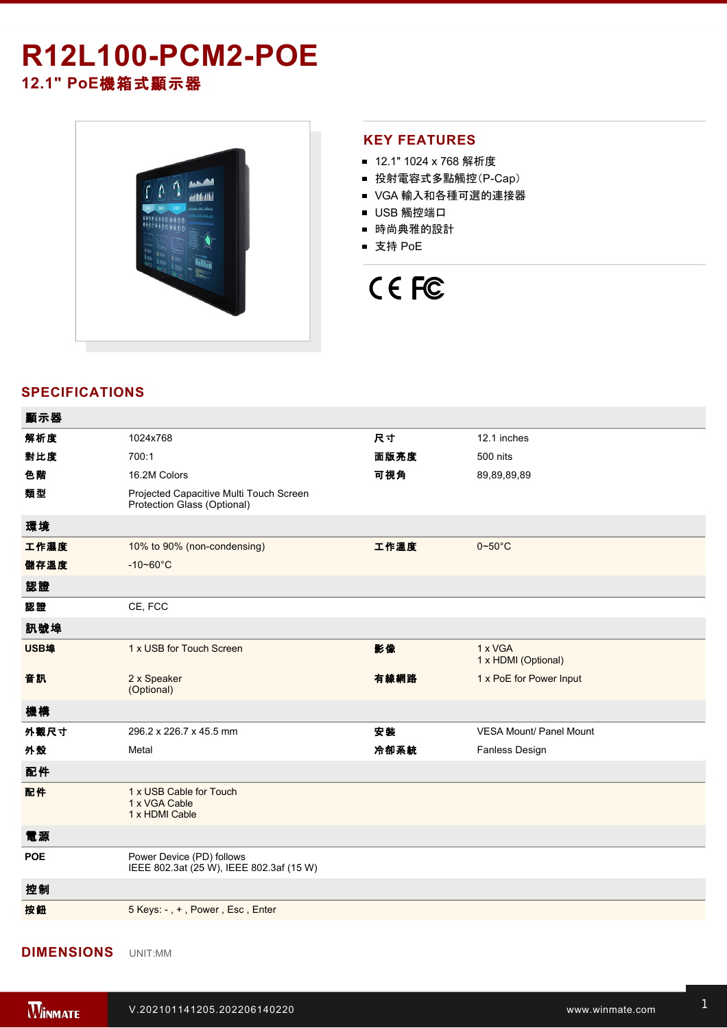# **R12L100-PCM2-POE 12.1" PoE**機箱式顯示器



#### **KEY FEATURES**

- 12.1" 1024 x 768 解析度
- 投射電容式多點觸控(P-Cap)
- VGA 輸入和各種可選的連接器
- USB 觸控端口
- 時尚典雅的設計
- 支持 PoE



## **SPECIFICATIONS**

| 顯示器        |                                                                        |      |                                |
|------------|------------------------------------------------------------------------|------|--------------------------------|
| 解析度        | 1024x768                                                               | 尺寸   | 12.1 inches                    |
| 對比度        | 700:1                                                                  | 面版亮度 | 500 nits                       |
| 色階         | 16.2M Colors                                                           | 可視角  | 89,89,89,89                    |
| 類型         | Projected Capacitive Multi Touch Screen<br>Protection Glass (Optional) |      |                                |
| 環境         |                                                                        |      |                                |
| 工作濕度       | 10% to 90% (non-condensing)                                            | 工作溫度 | $0 - 50$ °C                    |
| 儲存溫度       | $-10 - 60^{\circ}C$                                                    |      |                                |
| 認證         |                                                                        |      |                                |
| 認證         | CE, FCC                                                                |      |                                |
| 訊號埠        |                                                                        |      |                                |
| USB埠       | 1 x USB for Touch Screen                                               | 影像   | 1 x VGA<br>1 x HDMI (Optional) |
| 音訊         | 2 x Speaker<br>(Optional)                                              | 有線網路 | 1 x PoE for Power Input        |
| 機構         |                                                                        |      |                                |
| 外觀尺寸       | 296.2 x 226.7 x 45.5 mm                                                | 安装   | <b>VESA Mount/ Panel Mount</b> |
| 外殼         | Metal                                                                  | 冷卻系統 | Fanless Design                 |
| 配件         |                                                                        |      |                                |
| 配件         | 1 x USB Cable for Touch<br>1 x VGA Cable<br>1 x HDMI Cable             |      |                                |
| 電源         |                                                                        |      |                                |
| <b>POE</b> | Power Device (PD) follows<br>IEEE 802.3at (25 W), IEEE 802.3af (15 W)  |      |                                |
| 控制         |                                                                        |      |                                |
| 按鈕         | 5 Keys: -, +, Power, Esc, Enter                                        |      |                                |
|            |                                                                        |      |                                |

#### **DIMENSIONS**  UNIT:MM